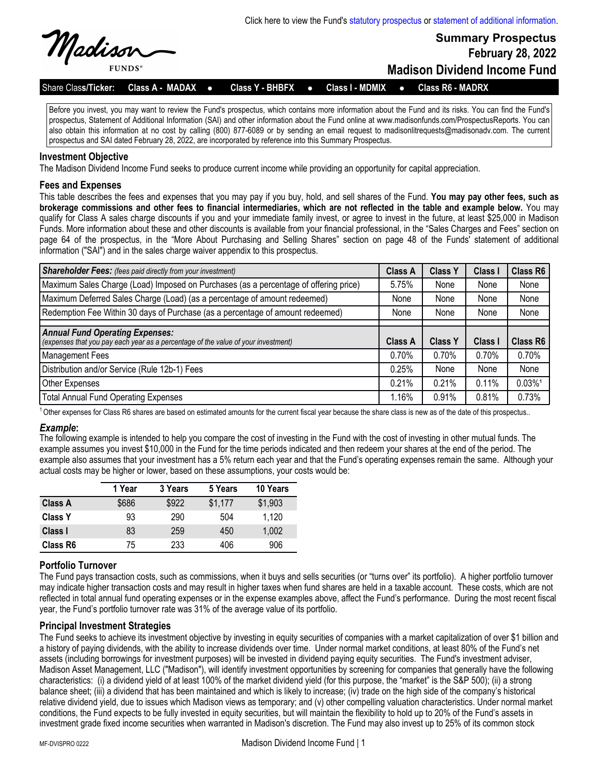

**Summary Prospectus February 28, 2022**

**Madison Dividend Income Fund**

Share Class/Ticker: Class A - MADAX . Class Y - BHBFX . Class I - MDMIX . Class R6 - MADRX

Before you invest, you may want to review the Fund's prospectus, which contains more information about the Fund and its risks. You can find the Fund's prospectus, Statement of Additional Information (SAI) and other information about the Fund online at www.madisonfunds.com/ProspectusReports. You can also obtain this information at no cost by calling (800) 877-6089 or by sending an email request to madisonlitrequests@madisonadv.com. The current prospectus and SAI dated February 28, 2022, are incorporated by reference into this Summary Prospectus.

## **Investment Objective**

The Madison Dividend Income Fund seeks to produce current income while providing an opportunity for capital appreciation.

## **Fees and Expenses**

This table describes the fees and expenses that you may pay if you buy, hold, and sell shares of the Fund. **You may pay other fees, such as brokerage commissions and other fees to financial intermediaries, which are not reflected in the table and example below.** You may qualify for Class A sales charge discounts if you and your immediate family invest, or agree to invest in the future, at least \$25,000 in Madison Funds. More information about these and other discounts is available from your financial professional, in the "Sales Charges and Fees" section on page 64 of the prospectus, in the "More About Purchasing and Selling Shares" section on page 48 of the Funds' statement of additional information ("SAI") and in the sales charge waiver appendix to this prospectus.

| <b>Shareholder Fees:</b> (fees paid directly from your investment)                                   | <b>Class A</b>          | <b>Class Y</b>          | Class I             | Class R6          |
|------------------------------------------------------------------------------------------------------|-------------------------|-------------------------|---------------------|-------------------|
| Maximum Sales Charge (Load) Imposed on Purchases (as a percentage of offering price)                 | 5.75%                   | None                    | None                | None              |
| Maximum Deferred Sales Charge (Load) (as a percentage of amount redeemed)                            | None                    | None                    | None                | None              |
| Redemption Fee Within 30 days of Purchase (as a percentage of amount redeemed)                       | None                    | None                    | None                | None              |
| <b>Annual Fund Operating Expenses:</b>                                                               |                         |                         |                     |                   |
|                                                                                                      |                         |                         |                     |                   |
| (expenses that you pay each year as a percentage of the value of your investment)<br>Management Fees | <b>Class A</b><br>0.70% | <b>Class Y</b><br>0.70% | Class I<br>$0.70\%$ | Class R6<br>0.70% |
| Distribution and/or Service (Rule 12b-1) Fees                                                        | 0.25%                   | None                    | None                | None              |
| <b>Other Expenses</b>                                                                                | 0.21%                   | 0.21%                   | 0.11%               | 0.03%1            |

 $1$  Other expenses for Class R6 shares are based on estimated amounts for the current fiscal year because the share class is new as of the date of this prospectus..

#### *Example***:**

The following example is intended to help you compare the cost of investing in the Fund with the cost of investing in other mutual funds. The example assumes you invest \$10,000 in the Fund for the time periods indicated and then redeem your shares at the end of the period. The example also assumes that your investment has a 5% return each year and that the Fund's operating expenses remain the same. Although your actual costs may be higher or lower, based on these assumptions, your costs would be:

|                | 1 Year | 3 Years | 5 Years | 10 Years |
|----------------|--------|---------|---------|----------|
| <b>Class A</b> | \$686  | \$922   | \$1,177 | \$1,903  |
| <b>Class Y</b> | 93     | 290     | 504     | 1,120    |
| Class I        | 83     | 259     | 450     | 1.002    |
| Class R6       | 75     | 233     | 406     | 906      |

# **Portfolio Turnover**

The Fund pays transaction costs, such as commissions, when it buys and sells securities (or "turns over" its portfolio). A higher portfolio turnover may indicate higher transaction costs and may result in higher taxes when fund shares are held in a taxable account. These costs, which are not reflected in total annual fund operating expenses or in the expense examples above, affect the Fund's performance. During the most recent fiscal year, the Fund's portfolio turnover rate was 31% of the average value of its portfolio.

# **Principal Investment Strategies**

The Fund seeks to achieve its investment objective by investing in equity securities of companies with a market capitalization of over \$1 billion and a history of paying dividends, with the ability to increase dividends over time. Under normal market conditions, at least 80% of the Fund's net assets (including borrowings for investment purposes) will be invested in dividend paying equity securities. The Fund's investment adviser, Madison Asset Management, LLC ("Madison"), will identify investment opportunities by screening for companies that generally have the following characteristics: (i) a dividend yield of at least 100% of the market dividend yield (for this purpose, the "market" is the S&P 500); (ii) a strong balance sheet; (iii) a dividend that has been maintained and which is likely to increase; (iv) trade on the high side of the company's historical relative dividend yield, due to issues which Madison views as temporary; and (v) other compelling valuation characteristics. Under normal market conditions, the Fund expects to be fully invested in equity securities, but will maintain the flexibility to hold up to 20% of the Fund's assets in investment grade fixed income securities when warranted in Madison's discretion. The Fund may also invest up to 25% of its common stock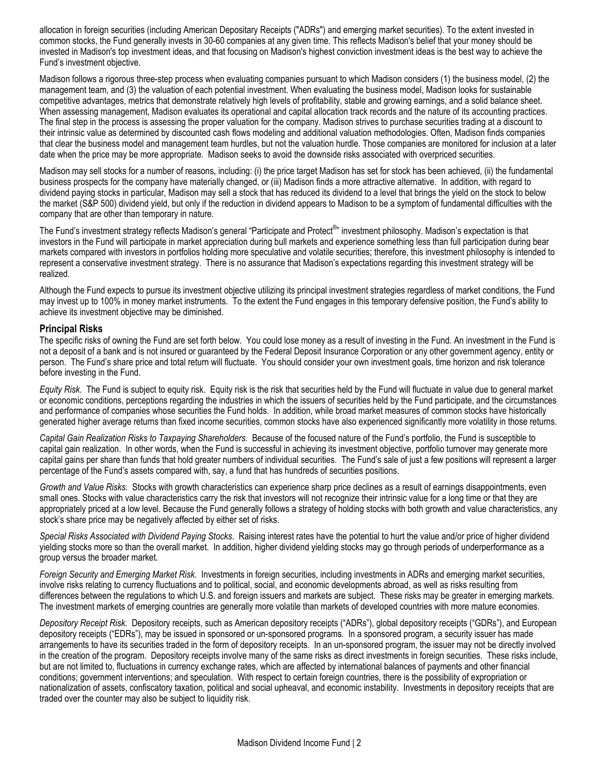allocation in foreign securities (including American Depositary Receipts ("ADRs") and emerging market securities). To the extent invested in common stocks, the Fund generally invests in 30-60 companies at any given time. This reflects Madison's belief that your money should be invested in Madison's top investment ideas, and that focusing on Madison's highest conviction investment ideas is the best way to achieve the Fund's investment objective.

Madison follows a rigorous three-step process when evaluating companies pursuant to which Madison considers (1) the business model, (2) the management team, and (3) the valuation of each potential investment. When evaluating the business model, Madison looks for sustainable competitive advantages, metrics that demonstrate relatively high levels of profitability, stable and growing earnings, and a solid balance sheet. When assessing management, Madison evaluates its operational and capital allocation track records and the nature of its accounting practices. The final step in the process is assessing the proper valuation for the company. Madison strives to purchase securities trading at a discount to their intrinsic value as determined by discounted cash flows modeling and additional valuation methodologies. Often, Madison finds companies that clear the business model and management team hurdles, but not the valuation hurdle. Those companies are monitored for inclusion at a later date when the price may be more appropriate. Madison seeks to avoid the downside risks associated with overpriced securities.

Madison may sell stocks for a number of reasons, including: (i) the price target Madison has set for stock has been achieved, (ii) the fundamental business prospects for the company have materially changed, or (iii) Madison finds a more attractive alternative. In addition, with regard to dividend paying stocks in particular, Madison may sell a stock that has reduced its dividend to a level that brings the yield on the stock to below the market (S&P 500) dividend yield, but only if the reduction in dividend appears to Madison to be a symptom of fundamental difficulties with the company that are other than temporary in nature.

The Fund's investment strategy reflects Madison's general "Participate and Protect®" investment philosophy. Madison's expectation is that investors in the Fund will participate in market appreciation during bull markets and experience something less than full participation during bear markets compared with investors in portfolios holding more speculative and volatile securities; therefore, this investment philosophy is intended to represent a conservative investment strategy. There is no assurance that Madison's expectations regarding this investment strategy will be realized.

Although the Fund expects to pursue its investment objective utilizing its principal investment strategies regardless of market conditions, the Fund may invest up to 100% in money market instruments. To the extent the Fund engages in this temporary defensive position, the Fund's ability to achieve its investment objective may be diminished.

## **Principal Risks**

The specific risks of owning the Fund are set forth below. You could lose money as a result of investing in the Fund. An investment in the Fund is not a deposit of a bank and is not insured or guaranteed by the Federal Deposit Insurance Corporation or any other government agency, entity or person. The Fund's share price and total return will fluctuate. You should consider your own investment goals, time horizon and risk tolerance before investing in the Fund.

*Equity Risk*. The Fund is subject to equity risk. Equity risk is the risk that securities held by the Fund will fluctuate in value due to general market or economic conditions, perceptions regarding the industries in which the issuers of securities held by the Fund participate, and the circumstances and performance of companies whose securities the Fund holds. In addition, while broad market measures of common stocks have historically generated higher average returns than fixed income securities, common stocks have also experienced significantly more volatility in those returns.

*Capital Gain Realization Risks to Taxpaying Shareholders.* Because of the focused nature of the Fund's portfolio, the Fund is susceptible to capital gain realization. In other words, when the Fund is successful in achieving its investment objective, portfolio turnover may generate more capital gains per share than funds that hold greater numbers of individual securities. The Fund's sale of just a few positions will represent a larger percentage of the Fund's assets compared with, say, a fund that has hundreds of securities positions.

*Growth and Value Risks.* Stocks with growth characteristics can experience sharp price declines as a result of earnings disappointments, even small ones. Stocks with value characteristics carry the risk that investors will not recognize their intrinsic value for a long time or that they are appropriately priced at a low level. Because the Fund generally follows a strategy of holding stocks with both growth and value characteristics, any stock's share price may be negatively affected by either set of risks.

*Special Risks Associated with Dividend Paying Stocks*. Raising interest rates have the potential to hurt the value and/or price of higher dividend yielding stocks more so than the overall market. In addition, higher dividend yielding stocks may go through periods of underperformance as a group versus the broader market.

*Foreign Security and Emerging Market Risk*. Investments in foreign securities, including investments in ADRs and emerging market securities, involve risks relating to currency fluctuations and to political, social, and economic developments abroad, as well as risks resulting from differences between the regulations to which U.S. and foreign issuers and markets are subject. These risks may be greater in emerging markets. The investment markets of emerging countries are generally more volatile than markets of developed countries with more mature economies.

*Depository Receipt Risk.* Depository receipts, such as American depository receipts ("ADRs"), global depository receipts ("GDRs"), and European depository receipts ("EDRs"), may be issued in sponsored or un-sponsored programs. In a sponsored program, a security issuer has made arrangements to have its securities traded in the form of depository receipts. In an un-sponsored program, the issuer may not be directly involved in the creation of the program. Depository receipts involve many of the same risks as direct investments in foreign securities. These risks include, but are not limited to, fluctuations in currency exchange rates, which are affected by international balances of payments and other financial conditions; government interventions; and speculation. With respect to certain foreign countries, there is the possibility of expropriation or nationalization of assets, confiscatory taxation, political and social upheaval, and economic instability. Investments in depository receipts that are traded over the counter may also be subject to liquidity risk.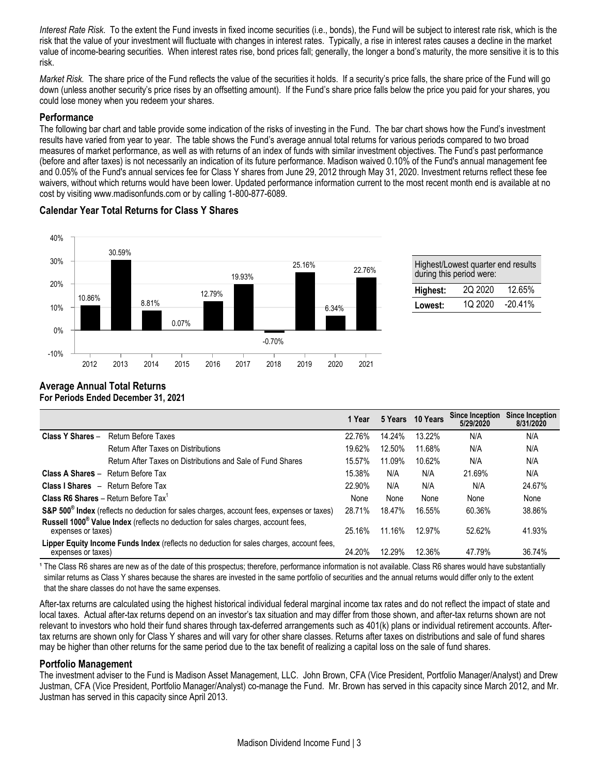*Interest Rate Risk*. To the extent the Fund invests in fixed income securities (i.e., bonds), the Fund will be subject to interest rate risk, which is the risk that the value of your investment will fluctuate with changes in interest rates. Typically, a rise in interest rates causes a decline in the market value of income-bearing securities. When interest rates rise, bond prices fall; generally, the longer a bond's maturity, the more sensitive it is to this risk.

*Market Risk.* The share price of the Fund reflects the value of the securities it holds. If a security's price falls, the share price of the Fund will go down (unless another security's price rises by an offsetting amount). If the Fund's share price falls below the price you paid for your shares, you could lose money when you redeem your shares.

### **Performance**

The following bar chart and table provide some indication of the risks of investing in the Fund. The bar chart shows how the Fund's investment results have varied from year to year. The table shows the Fund's average annual total returns for various periods compared to two broad measures of market performance, as well as with returns of an index of funds with similar investment objectives. The Fund's past performance (before and after taxes) is not necessarily an indication of its future performance. Madison waived 0.10% of the Fund's annual management fee and 0.05% of the Fund's annual services fee for Class Y shares from June 29, 2012 through May 31, 2020. Investment returns reflect these fee waivers, without which returns would have been lower. Updated performance information current to the most recent month end is available at no cost by visiting www.madisonfunds.com or by calling 1-800-877-6089.

# **Calendar Year Total Returns for Class Y Shares**



| Highest/Lowest quarter end results<br>during this period were: |  |  |  |  |  |
|----------------------------------------------------------------|--|--|--|--|--|
| 2Q 2020<br>12.65%<br>Highest:                                  |  |  |  |  |  |
| 10 2020<br>$-20.41%$<br>Lowest:                                |  |  |  |  |  |

#### **Average Annual Total Returns For Periods Ended December 31, 2021**

|                                                         |                                                                                                       | 1 Year |        | 5 Years 10 Years | <b>Since Inception</b><br>5/29/2020 | <b>Since Inception</b><br>8/31/2020 |
|---------------------------------------------------------|-------------------------------------------------------------------------------------------------------|--------|--------|------------------|-------------------------------------|-------------------------------------|
| Class Y Shares -                                        | Return Before Taxes                                                                                   | 22.76% | 14.24% | 13.22%           | N/A                                 | N/A                                 |
|                                                         | <b>Return After Taxes on Distributions</b>                                                            | 19.62% | 12.50% | 11.68%           | N/A                                 | N/A                                 |
|                                                         | Return After Taxes on Distributions and Sale of Fund Shares                                           | 15.57% | 11.09% | 10.62%           | N/A                                 | N/A                                 |
| <b>Class A Shares - Return Before Tax</b>               |                                                                                                       | 15.38% | N/A    | N/A              | 21.69%                              | N/A                                 |
| <b>Class I Shares</b> - Return Before Tax               |                                                                                                       | 22.90% | N/A    | N/A              | N/A                                 | 24.67%                              |
| <b>Class R6 Shares - Return Before Tax</b> <sup>1</sup> |                                                                                                       | None   | None   | None             | None                                | None                                |
|                                                         | S&P 500 <sup>®</sup> Index (reflects no deduction for sales charges, account fees, expenses or taxes) | 28.71% | 18.47% | 16.55%           | 60.36%                              | 38.86%                              |
| expenses or taxes)                                      | Russell 1000 <sup>®</sup> Value Index (reflects no deduction for sales charges, account fees,         | 25.16% | 11.16% | 12.97%           | 52.62%                              | 41.93%                              |
| expenses or taxes)                                      | Lipper Equity Income Funds Index (reflects no deduction for sales charges, account fees,              | 24.20% | 12.29% | 12.36%           | 47.79%                              | 36.74%                              |

<sup>1</sup> The Class R6 shares are new as of the date of this prospectus; therefore, performance information is not available. Class R6 shares would have substantially similar returns as Class Y shares because the shares are invested in the same portfolio of securities and the annual returns would differ only to the extent that the share classes do not have the same expenses.

After-tax returns are calculated using the highest historical individual federal marginal income tax rates and do not reflect the impact of state and local taxes. Actual after-tax returns depend on an investor's tax situation and may differ from those shown, and after-tax returns shown are not relevant to investors who hold their fund shares through tax-deferred arrangements such as 401(k) plans or individual retirement accounts. Aftertax returns are shown only for Class Y shares and will vary for other share classes. Returns after taxes on distributions and sale of fund shares may be higher than other returns for the same period due to the tax benefit of realizing a capital loss on the sale of fund shares.

# **Portfolio Management**

The investment adviser to the Fund is Madison Asset Management, LLC. John Brown, CFA (Vice President, Portfolio Manager/Analyst) and Drew Justman, CFA (Vice President, Portfolio Manager/Analyst) co-manage the Fund. Mr. Brown has served in this capacity since March 2012, and Mr. Justman has served in this capacity since April 2013.